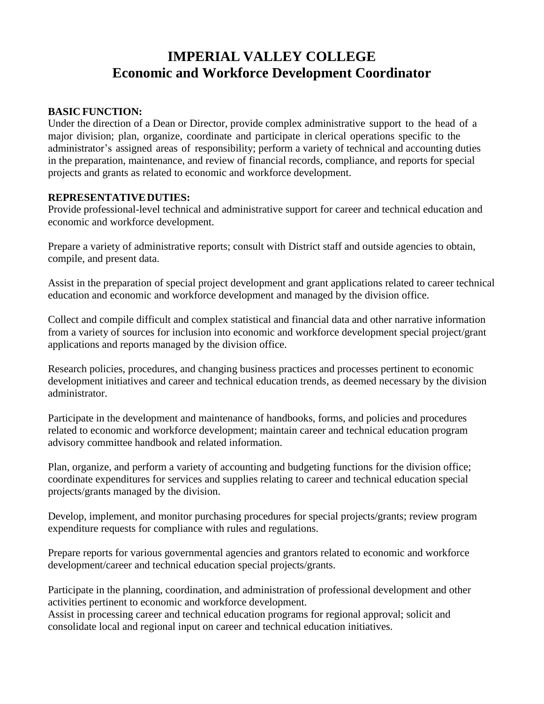# **IMPERIAL VALLEY COLLEGE Economic and Workforce Development Coordinator**

## **BASIC FUNCTION:**

Under the direction of a Dean or Director, provide complex administrative support to the head of a major division; plan, organize, coordinate and participate in clerical operations specific to the administrator's assigned areas of responsibility; perform a variety of technical and accounting duties in the preparation, maintenance, and review of financial records, compliance, and reports for special projects and grants as related to economic and workforce development.

## **REPRESENTATIVEDUTIES:**

Provide professional-level technical and administrative support for career and technical education and economic and workforce development.

Prepare a variety of administrative reports; consult with District staff and outside agencies to obtain, compile, and present data.

Assist in the preparation of special project development and grant applications related to career technical education and economic and workforce development and managed by the division office.

Collect and compile difficult and complex statistical and financial data and other narrative information from a variety of sources for inclusion into economic and workforce development special project/grant applications and reports managed by the division office.

Research policies, procedures, and changing business practices and processes pertinent to economic development initiatives and career and technical education trends, as deemed necessary by the division administrator.

Participate in the development and maintenance of handbooks, forms, and policies and procedures related to economic and workforce development; maintain career and technical education program advisory committee handbook and related information.

Plan, organize, and perform a variety of accounting and budgeting functions for the division office; coordinate expenditures for services and supplies relating to career and technical education special projects/grants managed by the division.

Develop, implement, and monitor purchasing procedures for special projects/grants; review program expenditure requests for compliance with rules and regulations.

Prepare reports for various governmental agencies and grantors related to economic and workforce development/career and technical education special projects/grants.

Participate in the planning, coordination, and administration of professional development and other activities pertinent to economic and workforce development.

Assist in processing career and technical education programs for regional approval; solicit and consolidate local and regional input on career and technical education initiatives.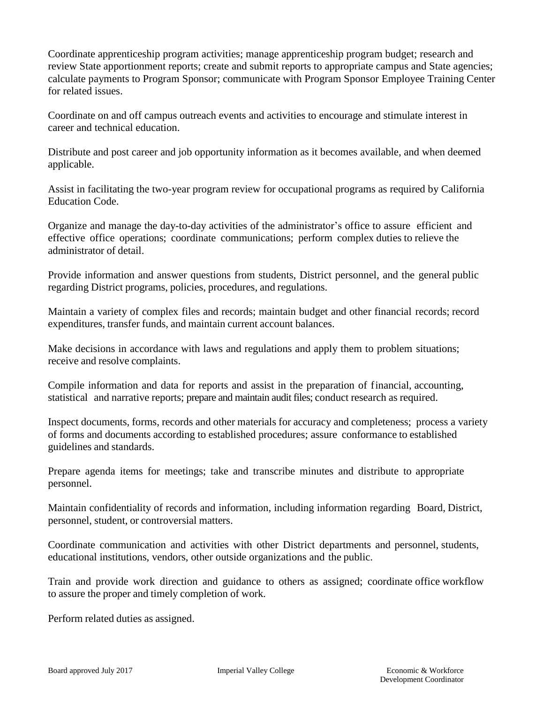Coordinate apprenticeship program activities; manage apprenticeship program budget; research and review State apportionment reports; create and submit reports to appropriate campus and State agencies; calculate payments to Program Sponsor; communicate with Program Sponsor Employee Training Center for related issues.

Coordinate on and off campus outreach events and activities to encourage and stimulate interest in career and technical education.

Distribute and post career and job opportunity information as it becomes available, and when deemed applicable.

Assist in facilitating the two-year program review for occupational programs as required by California Education Code.

Organize and manage the day-to-day activities of the administrator's office to assure efficient and effective office operations; coordinate communications; perform complex duties to relieve the administrator of detail.

Provide information and answer questions from students, District personnel, and the general public regarding District programs, policies, procedures, and regulations.

Maintain a variety of complex files and records; maintain budget and other financial records; record expenditures, transfer funds, and maintain current account balances.

Make decisions in accordance with laws and regulations and apply them to problem situations; receive and resolve complaints.

Compile information and data for reports and assist in the preparation of financial, accounting, statistical and narrative reports; prepare and maintain audit files; conduct research as required.

Inspect documents, forms, records and other materials for accuracy and completeness; process a variety of forms and documents according to established procedures; assure conformance to established guidelines and standards.

Prepare agenda items for meetings; take and transcribe minutes and distribute to appropriate personnel.

Maintain confidentiality of records and information, including information regarding Board, District, personnel, student, or controversial matters.

Coordinate communication and activities with other District departments and personnel, students, educational institutions, vendors, other outside organizations and the public.

Train and provide work direction and guidance to others as assigned; coordinate office workflow to assure the proper and timely completion of work.

Perform related duties as assigned.